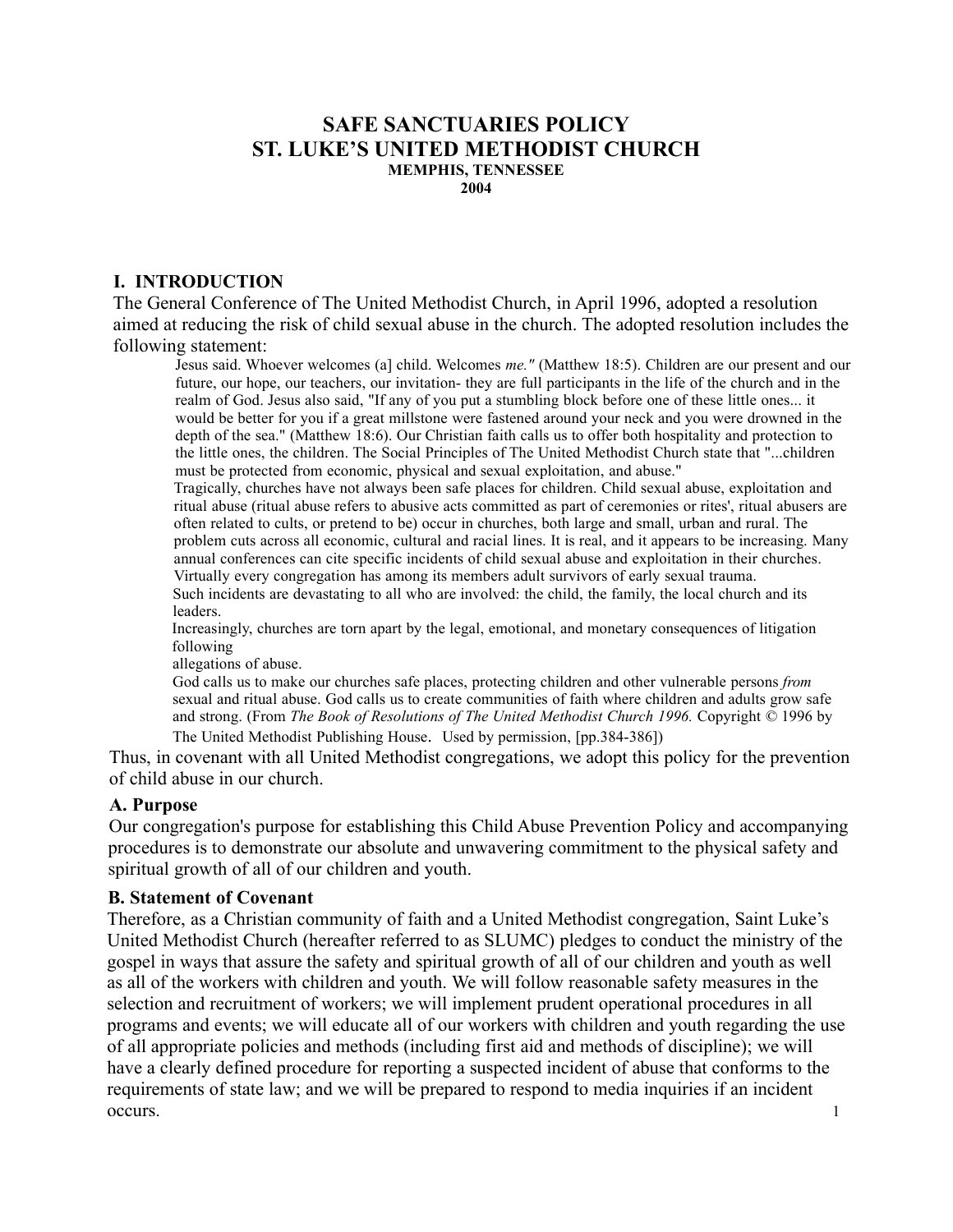#### SAFE SANCTUARIES POLICY ST. LUKE'S UNITED METHODIST CHURCH MEMPHIS, TENNESSEE 2004

#### I. INTRODUCTION

The General Conference of The United Methodist Church, in April 1996, adopted a resolution aimed at reducing the risk of child sexual abuse in the church. The adopted resolution includes the following statement:

Jesus said. Whoever welcomes (a] child. Welcomes *me."* (Matthew 18:5). Children are our present and our future, our hope, our teachers, our invitation- they are full participants in the life of the church and in the realm of God. Jesus also said, "If any of you put a stumbling block before one of these little ones... it would be better for you if a great millstone were fastened around your neck and you were drowned in the depth of the sea." (Matthew 18:6). Our Christian faith calls us to offer both hospitality and protection to the little ones, the children. The Social Principles of The United Methodist Church state that "...children must be protected from economic, physical and sexual exploitation, and abuse."

Tragically, churches have not always been safe places for children. Child sexual abuse, exploitation and ritual abuse (ritual abuse refers to abusive acts committed as part of ceremonies or rites', ritual abusers are often related to cults, or pretend to be) occur in churches, both large and small, urban and rural. The problem cuts across all economic, cultural and racial lines. It is real, and it appears to be increasing. Many annual conferences can cite specific incidents of child sexual abuse and exploitation in their churches. Virtually every congregation has among its members adult survivors of early sexual trauma.

Such incidents are devastating to all who are involved: the child, the family, the local church and its leaders.

Increasingly, churches are torn apart by the legal, emotional, and monetary consequences of litigation following

allegations of abuse.

God calls us to make our churches safe places, protecting children and other vulnerable persons *from* sexual and ritual abuse. God calls us to create communities of faith where children and adults grow safe and strong. (From *The Book of Resolutions of The United Methodist Church 1996.* Copyright *©* 1996 by The United Methodist Publishing House. Used by permission, [pp.384-386])

Thus, in covenant with all United Methodist congregations, we adopt this policy for the prevention of child abuse in our church.

#### A. Purpose

Our congregation's purpose for establishing this Child Abuse Prevention Policy and accompanying procedures is to demonstrate our absolute and unwavering commitment to the physical safety and spiritual growth of all of our children and youth.

#### B. Statement of Covenant

Therefore, as a Christian community of faith and a United Methodist congregation, Saint Luke's United Methodist Church (hereafter referred to as SLUMC) pledges to conduct the ministry of the gospel in ways that assure the safety and spiritual growth of all of our children and youth as well as all of the workers with children and youth. We will follow reasonable safety measures in the selection and recruitment of workers; we will implement prudent operational procedures in all programs and events; we will educate all of our workers with children and youth regarding the use of all appropriate policies and methods (including first aid and methods of discipline); we will have a clearly defined procedure for reporting a suspected incident of abuse that conforms to the requirements of state law; and we will be prepared to respond to media inquiries if an incident occurs. 1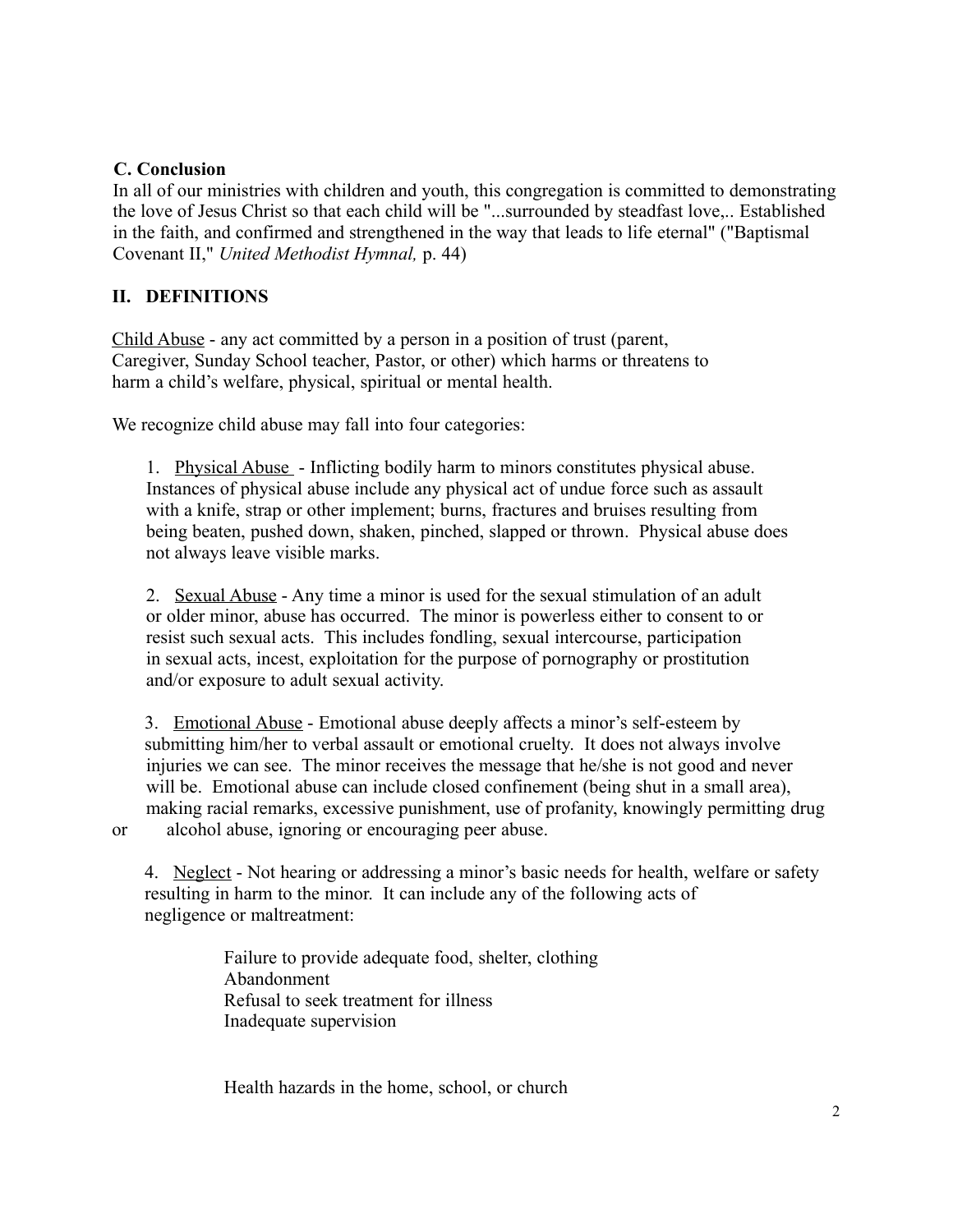### C. Conclusion

In all of our ministries with children and youth, this congregation is committed to demonstrating the love of Jesus Christ so that each child will be "...surrounded by steadfast love,.. Established in the faith, and confirmed and strengthened in the way that leads to life eternal" ("Baptismal Covenant II," *United Methodist Hymnal,* p. 44)

## II. DEFINITIONS

Child Abuse - any act committed by a person in a position of trust (parent, Caregiver, Sunday School teacher, Pastor, or other) which harms or threatens to harm a child's welfare, physical, spiritual or mental health.

We recognize child abuse may fall into four categories:

1. Physical Abuse - Inflicting bodily harm to minors constitutes physical abuse. Instances of physical abuse include any physical act of undue force such as assault with a knife, strap or other implement; burns, fractures and bruises resulting from being beaten, pushed down, shaken, pinched, slapped or thrown. Physical abuse does not always leave visible marks.

2. Sexual Abuse - Any time a minor is used for the sexual stimulation of an adult or older minor, abuse has occurred. The minor is powerless either to consent to or resist such sexual acts. This includes fondling, sexual intercourse, participation in sexual acts, incest, exploitation for the purpose of pornography or prostitution and/or exposure to adult sexual activity.

3. Emotional Abuse - Emotional abuse deeply affects a minor's self-esteem by submitting him/her to verbal assault or emotional cruelty. It does not always involve injuries we can see. The minor receives the message that he/she is not good and never will be. Emotional abuse can include closed confinement (being shut in a small area), making racial remarks, excessive punishment, use of profanity, knowingly permitting drug or alcohol abuse, ignoring or encouraging peer abuse.

4. Neglect - Not hearing or addressing a minor's basic needs for health, welfare or safety resulting in harm to the minor. It can include any of the following acts of negligence or maltreatment:

> Failure to provide adequate food, shelter, clothing Abandonment Refusal to seek treatment for illness Inadequate supervision

Health hazards in the home, school, or church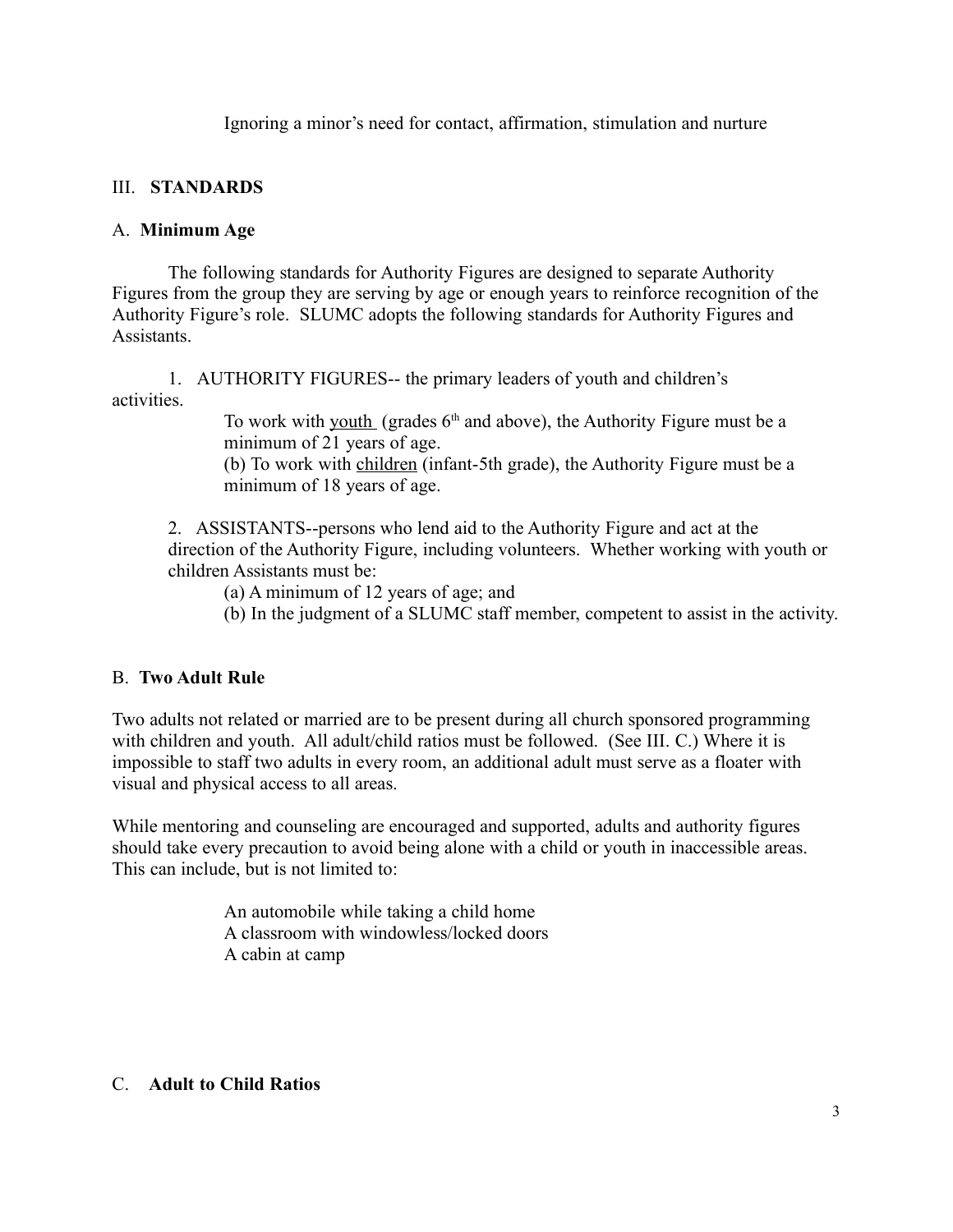Ignoring a minor's need for contact, affirmation, stimulation and nurture

## III. STANDARDS

## A. Minimum Age

The following standards for Authority Figures are designed to separate Authority Figures from the group they are serving by age or enough years to reinforce recognition of the Authority Figure's role. SLUMC adopts the following standards for Authority Figures and Assistants.

1. AUTHORITY FIGURES-- the primary leaders of youth and children's activities.

> To work with youth (grades  $6<sup>th</sup>$  and above), the Authority Figure must be a minimum of 21 years of age.

(b) To work with children (infant-5th grade), the Authority Figure must be a minimum of 18 years of age.

2. ASSISTANTS--persons who lend aid to the Authority Figure and act at the direction of the Authority Figure, including volunteers. Whether working with youth or children Assistants must be:

(a) A minimum of 12 years of age; and

(b) In the judgment of a SLUMC staff member, competent to assist in the activity.

## B. Two Adult Rule

Two adults not related or married are to be present during all church sponsored programming with children and youth. All adult/child ratios must be followed. (See III. C.) Where it is impossible to staff two adults in every room, an additional adult must serve as a floater with visual and physical access to all areas.

While mentoring and counseling are encouraged and supported, adults and authority figures should take every precaution to avoid being alone with a child or youth in inaccessible areas. This can include, but is not limited to:

> An automobile while taking a child home A classroom with windowless/locked doors A cabin at camp

## C. Adult to Child Ratios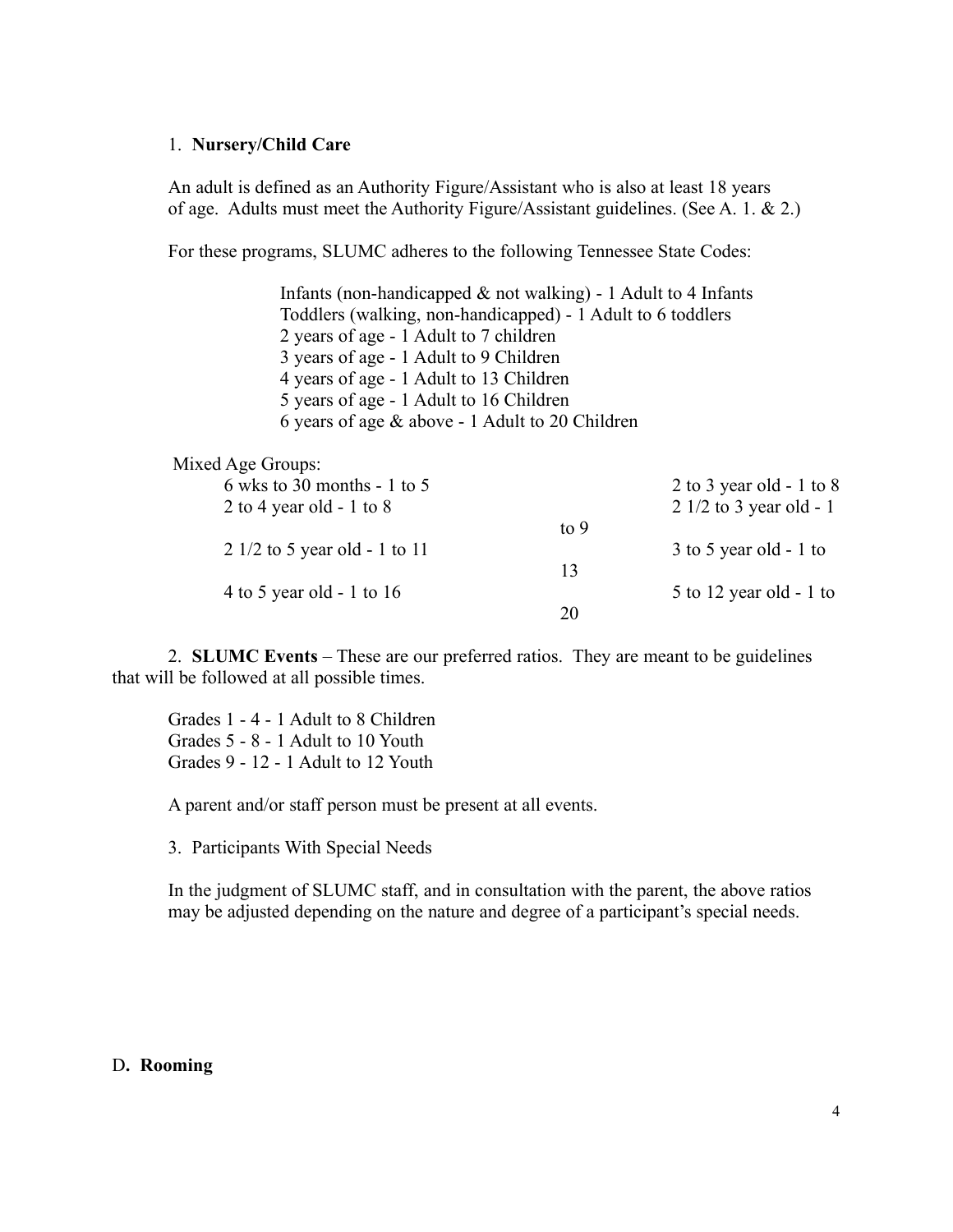#### 1. Nursery/Child Care

An adult is defined as an Authority Figure/Assistant who is also at least 18 years of age. Adults must meet the Authority Figure/Assistant guidelines. (See A. 1. & 2.)

For these programs, SLUMC adheres to the following Tennessee State Codes:

Infants (non-handicapped  $&$  not walking) - 1 Adult to 4 Infants Toddlers (walking, non-handicapped) - 1 Adult to 6 toddlers 2 years of age - 1 Adult to 7 children 3 years of age - 1 Adult to 9 Children 4 years of age - 1 Adult to 13 Children 5 years of age - 1 Adult to 16 Children 6 years of age & above - 1 Adult to 20 Children

|  | Mixed Age Groups: |
|--|-------------------|
|  |                   |

| 2 to 3 year old - 1 to 8                                 |
|----------------------------------------------------------|
| $2 \frac{1}{2}$ to 3 year old - 1                        |
|                                                          |
|                                                          |
|                                                          |
| $3$ to $5$ year old $-1$ to<br>$5$ to 12 year old - 1 to |
|                                                          |
|                                                          |

2. SLUMC Events – These are our preferred ratios. They are meant to be guidelines that will be followed at all possible times.

Grades 1 - 4 - 1 Adult to 8 Children Grades 5 - 8 - 1 Adult to 10 Youth Grades 9 - 12 - 1 Adult to 12 Youth

A parent and/or staff person must be present at all events.

3. Participants With Special Needs

In the judgment of SLUMC staff, and in consultation with the parent, the above ratios may be adjusted depending on the nature and degree of a participant's special needs.

#### D. Rooming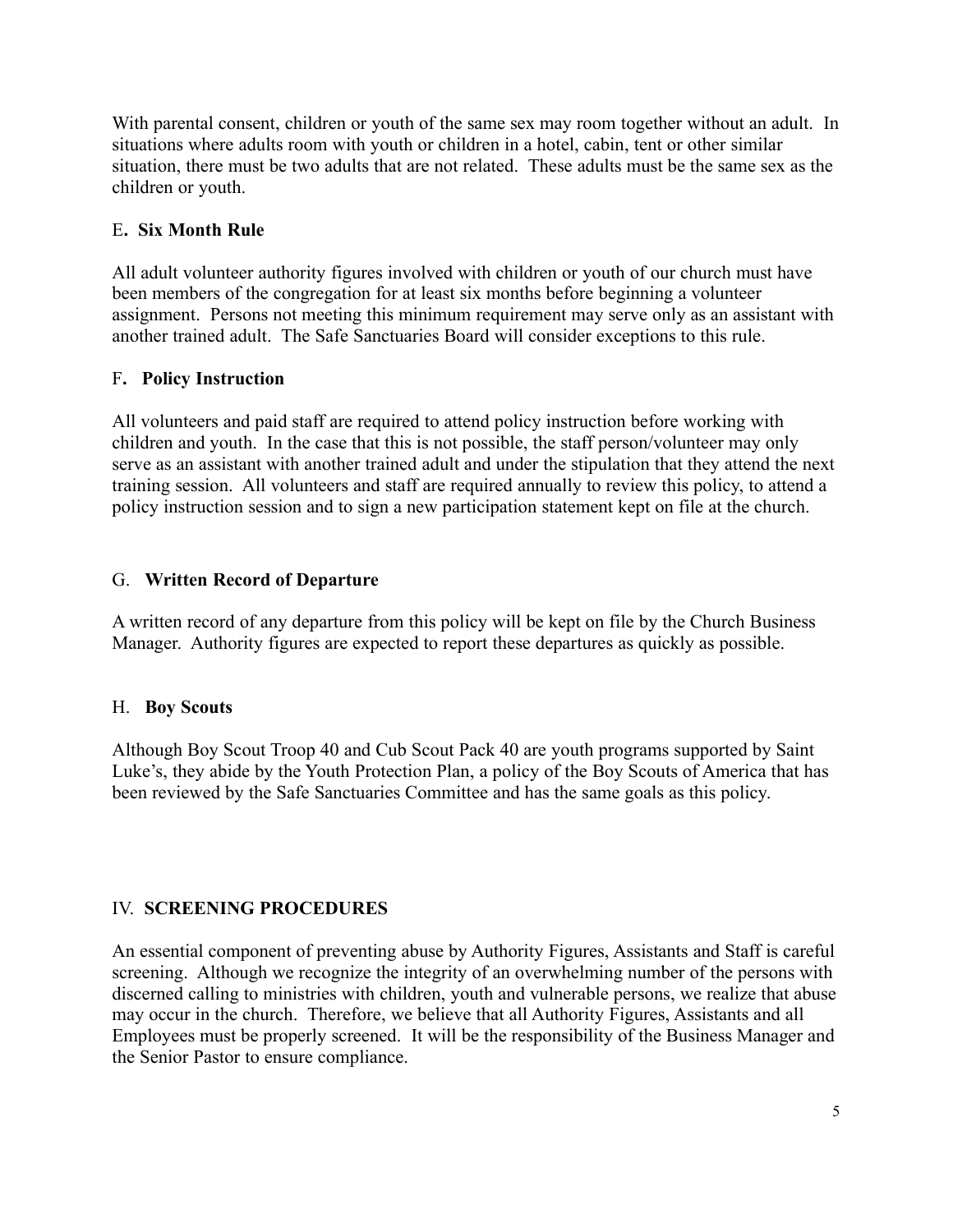With parental consent, children or youth of the same sex may room together without an adult. In situations where adults room with youth or children in a hotel, cabin, tent or other similar situation, there must be two adults that are not related. These adults must be the same sex as the children or youth.

## E. Six Month Rule

All adult volunteer authority figures involved with children or youth of our church must have been members of the congregation for at least six months before beginning a volunteer assignment. Persons not meeting this minimum requirement may serve only as an assistant with another trained adult. The Safe Sanctuaries Board will consider exceptions to this rule.

### F. Policy Instruction

All volunteers and paid staff are required to attend policy instruction before working with children and youth. In the case that this is not possible, the staff person/volunteer may only serve as an assistant with another trained adult and under the stipulation that they attend the next training session. All volunteers and staff are required annually to review this policy, to attend a policy instruction session and to sign a new participation statement kept on file at the church.

### G. Written Record of Departure

A written record of any departure from this policy will be kept on file by the Church Business Manager. Authority figures are expected to report these departures as quickly as possible.

## H. Boy Scouts

Although Boy Scout Troop 40 and Cub Scout Pack 40 are youth programs supported by Saint Luke's, they abide by the Youth Protection Plan, a policy of the Boy Scouts of America that has been reviewed by the Safe Sanctuaries Committee and has the same goals as this policy.

## IV. SCREENING PROCEDURES

An essential component of preventing abuse by Authority Figures, Assistants and Staff is careful screening. Although we recognize the integrity of an overwhelming number of the persons with discerned calling to ministries with children, youth and vulnerable persons, we realize that abuse may occur in the church. Therefore, we believe that all Authority Figures, Assistants and all Employees must be properly screened. It will be the responsibility of the Business Manager and the Senior Pastor to ensure compliance.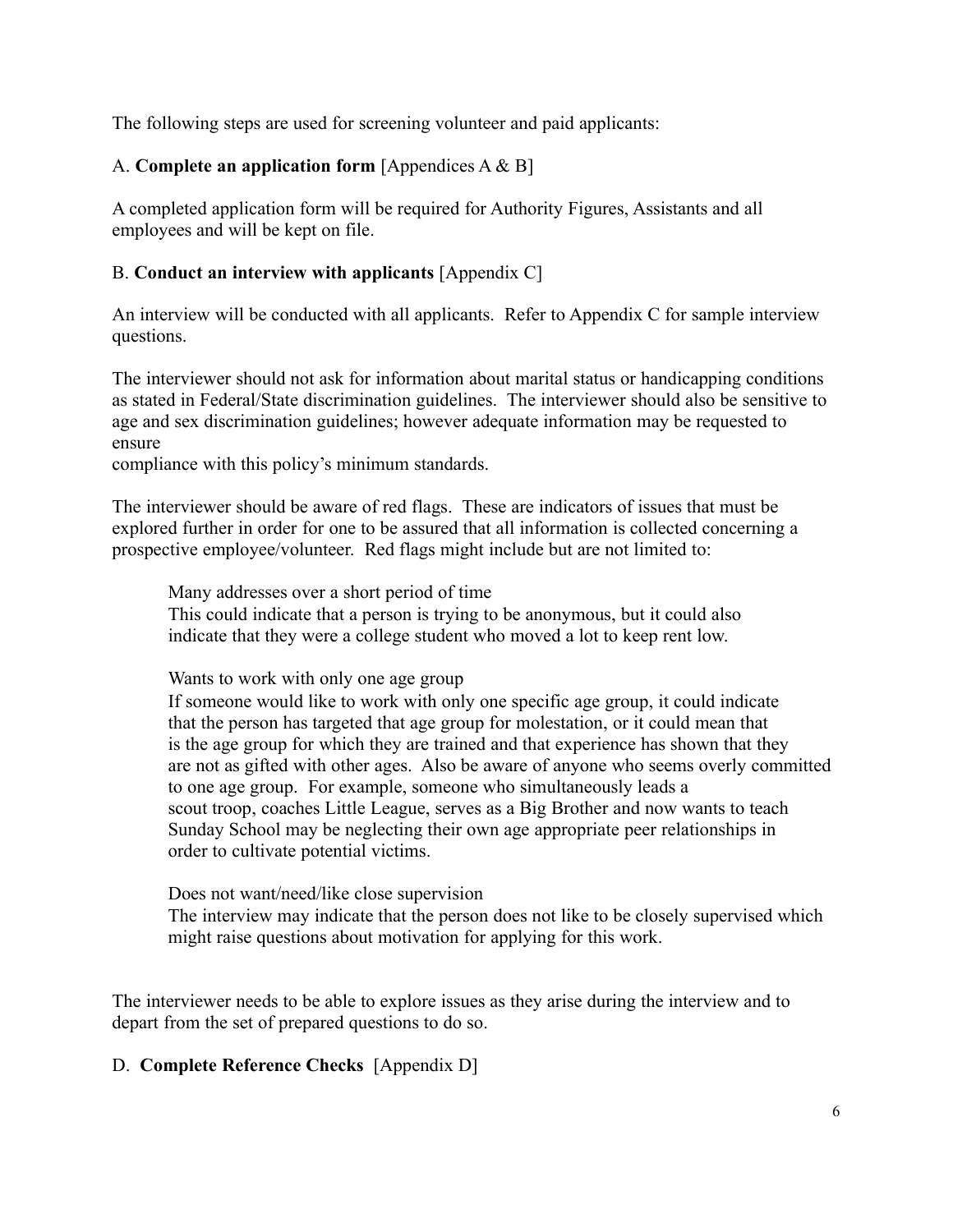The following steps are used for screening volunteer and paid applicants:

# A. Complete an application form [Appendices  $A & B$ ]

A completed application form will be required for Authority Figures, Assistants and all employees and will be kept on file.

# B. Conduct an interview with applicants [Appendix C]

An interview will be conducted with all applicants. Refer to Appendix C for sample interview questions.

The interviewer should not ask for information about marital status or handicapping conditions as stated in Federal/State discrimination guidelines. The interviewer should also be sensitive to age and sex discrimination guidelines; however adequate information may be requested to ensure

compliance with this policy's minimum standards.

The interviewer should be aware of red flags. These are indicators of issues that must be explored further in order for one to be assured that all information is collected concerning a prospective employee/volunteer. Red flags might include but are not limited to:

Many addresses over a short period of time This could indicate that a person is trying to be anonymous, but it could also indicate that they were a college student who moved a lot to keep rent low.

Wants to work with only one age group

If someone would like to work with only one specific age group, it could indicate that the person has targeted that age group for molestation, or it could mean that is the age group for which they are trained and that experience has shown that they are not as gifted with other ages. Also be aware of anyone who seems overly committed to one age group. For example, someone who simultaneously leads a scout troop, coaches Little League, serves as a Big Brother and now wants to teach Sunday School may be neglecting their own age appropriate peer relationships in order to cultivate potential victims.

Does not want/need/like close supervision The interview may indicate that the person does not like to be closely supervised which might raise questions about motivation for applying for this work.

The interviewer needs to be able to explore issues as they arise during the interview and to depart from the set of prepared questions to do so.

# D. Complete Reference Checks [Appendix D]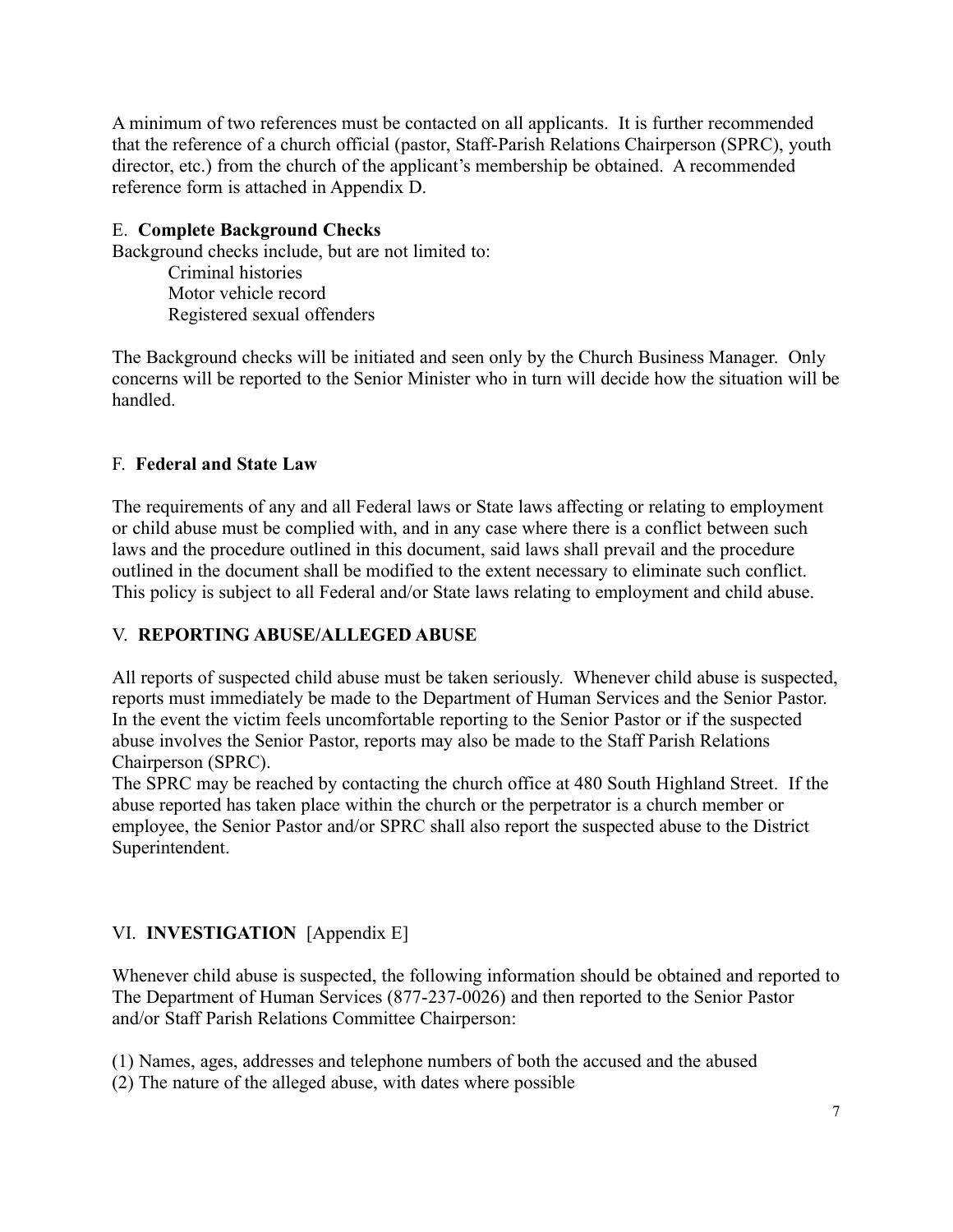A minimum of two references must be contacted on all applicants. It is further recommended that the reference of a church official (pastor, Staff-Parish Relations Chairperson (SPRC), youth director, etc.) from the church of the applicant's membership be obtained. A recommended reference form is attached in Appendix D.

# E. Complete Background Checks

Background checks include, but are not limited to: Criminal histories Motor vehicle record Registered sexual offenders

The Background checks will be initiated and seen only by the Church Business Manager. Only concerns will be reported to the Senior Minister who in turn will decide how the situation will be handled.

# F. Federal and State Law

The requirements of any and all Federal laws or State laws affecting or relating to employment or child abuse must be complied with, and in any case where there is a conflict between such laws and the procedure outlined in this document, said laws shall prevail and the procedure outlined in the document shall be modified to the extent necessary to eliminate such conflict. This policy is subject to all Federal and/or State laws relating to employment and child abuse.

# V. REPORTING ABUSE/ALLEGED ABUSE

All reports of suspected child abuse must be taken seriously. Whenever child abuse is suspected, reports must immediately be made to the Department of Human Services and the Senior Pastor. In the event the victim feels uncomfortable reporting to the Senior Pastor or if the suspected abuse involves the Senior Pastor, reports may also be made to the Staff Parish Relations Chairperson (SPRC).

The SPRC may be reached by contacting the church office at 480 South Highland Street. If the abuse reported has taken place within the church or the perpetrator is a church member or employee, the Senior Pastor and/or SPRC shall also report the suspected abuse to the District Superintendent.

# VI. INVESTIGATION [Appendix E]

Whenever child abuse is suspected, the following information should be obtained and reported to The Department of Human Services (877-237-0026) and then reported to the Senior Pastor and/or Staff Parish Relations Committee Chairperson:

(1) Names, ages, addresses and telephone numbers of both the accused and the abused

(2) The nature of the alleged abuse, with dates where possible